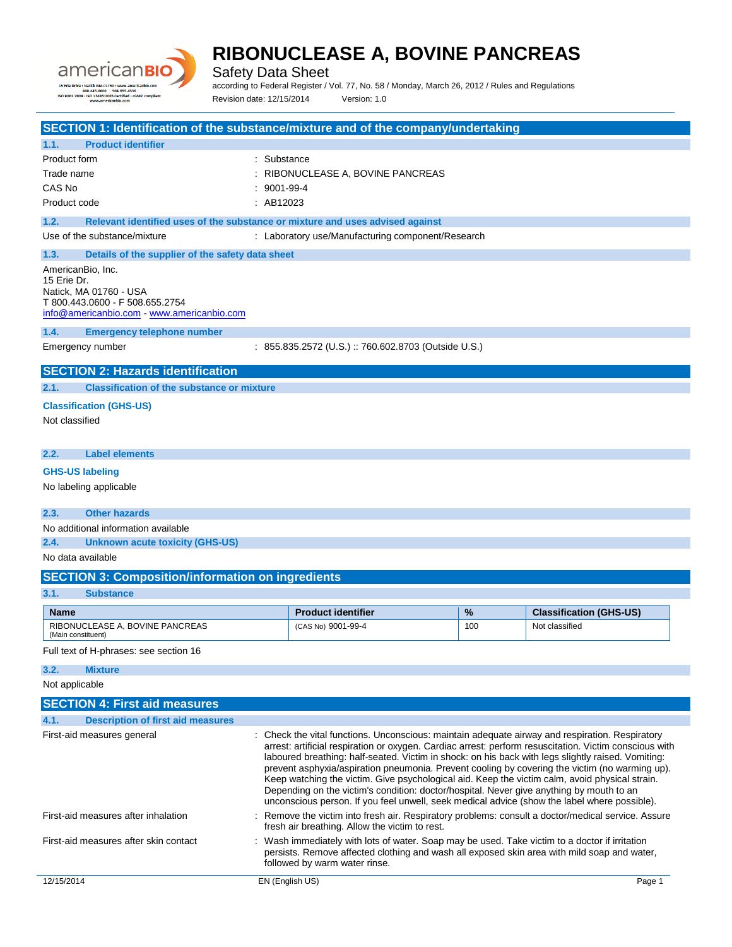

Safety Data Sheet

according to Federal Register / Vol. 77, No. 58 / Monday, March 26, 2012 / Rules and Regulations Revision date: 12/15/2014 Version: 1.0

| SECTION 1: Identification of the substance/mixture and of the company/undertaking     |                   |                                                                                                                                                                                                              |     |                                |
|---------------------------------------------------------------------------------------|-------------------|--------------------------------------------------------------------------------------------------------------------------------------------------------------------------------------------------------------|-----|--------------------------------|
| <b>Product identifier</b><br>1.1.                                                     |                   |                                                                                                                                                                                                              |     |                                |
| Product form                                                                          | : Substance       |                                                                                                                                                                                                              |     |                                |
| Trade name                                                                            |                   | : RIBONUCLEASE A, BOVINE PANCREAS                                                                                                                                                                            |     |                                |
| CAS No                                                                                | $: 9001 - 99 - 4$ |                                                                                                                                                                                                              |     |                                |
| Product code                                                                          | : AB12023         |                                                                                                                                                                                                              |     |                                |
| 1.2.<br>Relevant identified uses of the substance or mixture and uses advised against |                   |                                                                                                                                                                                                              |     |                                |
| Use of the substance/mixture                                                          |                   | : Laboratory use/Manufacturing component/Research                                                                                                                                                            |     |                                |
| 1.3.<br>Details of the supplier of the safety data sheet                              |                   |                                                                                                                                                                                                              |     |                                |
| AmericanBio, Inc.                                                                     |                   |                                                                                                                                                                                                              |     |                                |
| 15 Erie Dr.<br>Natick, MA 01760 - USA                                                 |                   |                                                                                                                                                                                                              |     |                                |
| T 800.443.0600 - F 508.655.2754                                                       |                   |                                                                                                                                                                                                              |     |                                |
| info@americanbio.com - www.americanbio.com                                            |                   |                                                                                                                                                                                                              |     |                                |
| 1.4.<br><b>Emergency telephone number</b>                                             |                   |                                                                                                                                                                                                              |     |                                |
| Emergency number                                                                      |                   | : 855.835.2572 (U.S.) :: 760.602.8703 (Outside U.S.)                                                                                                                                                         |     |                                |
| <b>SECTION 2: Hazards identification</b>                                              |                   |                                                                                                                                                                                                              |     |                                |
| <b>Classification of the substance or mixture</b><br>2.1.                             |                   |                                                                                                                                                                                                              |     |                                |
|                                                                                       |                   |                                                                                                                                                                                                              |     |                                |
| <b>Classification (GHS-US)</b>                                                        |                   |                                                                                                                                                                                                              |     |                                |
| Not classified                                                                        |                   |                                                                                                                                                                                                              |     |                                |
|                                                                                       |                   |                                                                                                                                                                                                              |     |                                |
| <b>Label elements</b><br>2.2.                                                         |                   |                                                                                                                                                                                                              |     |                                |
| <b>GHS-US labeling</b>                                                                |                   |                                                                                                                                                                                                              |     |                                |
| No labeling applicable                                                                |                   |                                                                                                                                                                                                              |     |                                |
| 2.3.<br><b>Other hazards</b>                                                          |                   |                                                                                                                                                                                                              |     |                                |
| No additional information available                                                   |                   |                                                                                                                                                                                                              |     |                                |
| 2.4.<br><b>Unknown acute toxicity (GHS-US)</b>                                        |                   |                                                                                                                                                                                                              |     |                                |
| No data available                                                                     |                   |                                                                                                                                                                                                              |     |                                |
|                                                                                       |                   |                                                                                                                                                                                                              |     |                                |
| <b>SECTION 3: Composition/information on ingredients</b>                              |                   |                                                                                                                                                                                                              |     |                                |
| 3.1.<br><b>Substance</b>                                                              |                   |                                                                                                                                                                                                              |     |                                |
| <b>Name</b>                                                                           |                   | <b>Product identifier</b>                                                                                                                                                                                    | %   | <b>Classification (GHS-US)</b> |
| RIBONUCLEASE A, BOVINE PANCREAS<br>(Main constituent)                                 |                   | (CAS No) 9001-99-4                                                                                                                                                                                           | 100 | Not classified                 |
| Full text of H-phrases: see section 16                                                |                   |                                                                                                                                                                                                              |     |                                |
|                                                                                       |                   |                                                                                                                                                                                                              |     |                                |
| 3.2.<br><b>Mixture</b>                                                                |                   |                                                                                                                                                                                                              |     |                                |
| Not applicable                                                                        |                   |                                                                                                                                                                                                              |     |                                |
| <b>SECTION 4: First aid measures</b>                                                  |                   |                                                                                                                                                                                                              |     |                                |
| 4.1.<br><b>Description of first aid measures</b>                                      |                   |                                                                                                                                                                                                              |     |                                |
| First-aid measures general                                                            |                   | : Check the vital functions. Unconscious: maintain adequate airway and respiration. Respiratory                                                                                                              |     |                                |
|                                                                                       |                   | arrest: artificial respiration or oxygen. Cardiac arrest: perform resuscitation. Victim conscious with<br>laboured breathing: half-seated. Victim in shock: on his back with legs slightly raised. Vomiting: |     |                                |
|                                                                                       |                   | prevent asphyxia/aspiration pneumonia. Prevent cooling by covering the victim (no warming up).                                                                                                               |     |                                |
|                                                                                       |                   | Keep watching the victim. Give psychological aid. Keep the victim calm, avoid physical strain.                                                                                                               |     |                                |
|                                                                                       |                   | Depending on the victim's condition: doctor/hospital. Never give anything by mouth to an<br>unconscious person. If you feel unwell, seek medical advice (show the label where possible).                     |     |                                |
| First-aid measures after inhalation                                                   |                   | : Remove the victim into fresh air. Respiratory problems: consult a doctor/medical service. Assure                                                                                                           |     |                                |
|                                                                                       |                   | fresh air breathing. Allow the victim to rest.                                                                                                                                                               |     |                                |
| First-aid measures after skin contact                                                 |                   | : Wash immediately with lots of water. Soap may be used. Take victim to a doctor if irritation                                                                                                               |     |                                |
|                                                                                       |                   | persists. Remove affected clothing and wash all exposed skin area with mild soap and water,                                                                                                                  |     |                                |
|                                                                                       |                   | followed by warm water rinse.                                                                                                                                                                                |     |                                |
| 12/15/2014                                                                            |                   | EN (English US)                                                                                                                                                                                              |     | Page 1                         |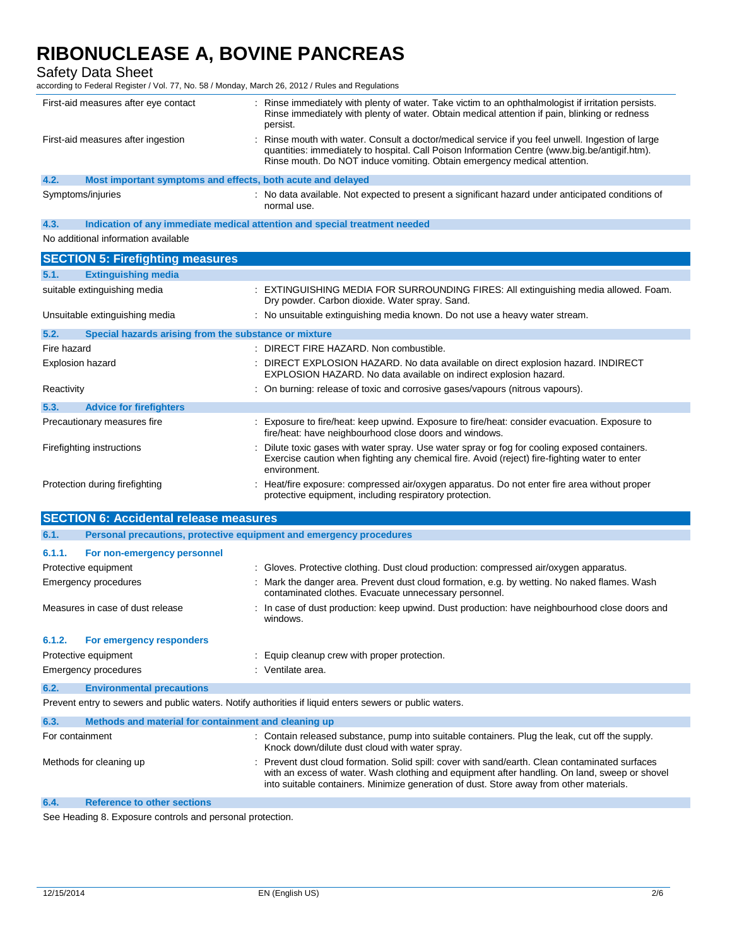Safety Data Sheet

according to Federal Register / Vol. 77, No. 58 / Monday, March 26, 2012 / Rules and Regulations

| First-aid measures after eye contact |                                                             | Rinse immediately with plenty of water. Take victim to an ophthalmologist if irritation persists.<br>Rinse immediately with plenty of water. Obtain medical attention if pain, blinking or redness<br>persist.                                                               |  |
|--------------------------------------|-------------------------------------------------------------|------------------------------------------------------------------------------------------------------------------------------------------------------------------------------------------------------------------------------------------------------------------------------|--|
|                                      | First-aid measures after ingestion                          | Rinse mouth with water. Consult a doctor/medical service if you feel unwell. Ingestion of large<br>quantities: immediately to hospital. Call Poison Information Centre (www.big.be/antigif.htm).<br>Rinse mouth. Do NOT induce vomiting. Obtain emergency medical attention. |  |
| 4.2.                                 | Most important symptoms and effects, both acute and delayed |                                                                                                                                                                                                                                                                              |  |
|                                      | Symptoms/injuries                                           | No data available. Not expected to present a significant hazard under anticipated conditions of<br>normal use.                                                                                                                                                               |  |

**4.3. Indication of any immediate medical attention and special treatment needed**

No additional information available

| <b>SECTION 5: Firefighting measures</b>                       |                                                                                                                                                                                                                |
|---------------------------------------------------------------|----------------------------------------------------------------------------------------------------------------------------------------------------------------------------------------------------------------|
| 5.1.<br><b>Extinguishing media</b>                            |                                                                                                                                                                                                                |
| suitable extinguishing media                                  | : EXTINGUISHING MEDIA FOR SURROUNDING FIRES: All extinguishing media allowed. Foam.<br>Dry powder. Carbon dioxide. Water spray. Sand.                                                                          |
| Unsuitable extinguishing media                                | : No unsuitable extinguishing media known. Do not use a heavy water stream.                                                                                                                                    |
| 5.2.<br>Special hazards arising from the substance or mixture |                                                                                                                                                                                                                |
| Fire hazard                                                   | : DIRECT FIRE HAZARD. Non combustible.                                                                                                                                                                         |
| Explosion hazard                                              | : DIRECT EXPLOSION HAZARD. No data available on direct explosion hazard. INDIRECT<br>EXPLOSION HAZARD. No data available on indirect explosion hazard.                                                         |
| Reactivity                                                    | : On burning: release of toxic and corrosive gases/vapours (nitrous vapours).                                                                                                                                  |
| 5.3.<br><b>Advice for firefighters</b>                        |                                                                                                                                                                                                                |
| Precautionary measures fire                                   | : Exposure to fire/heat: keep upwind. Exposure to fire/heat: consider evacuation. Exposure to<br>fire/heat: have neighbourhood close doors and windows.                                                        |
| Firefighting instructions                                     | : Dilute toxic gases with water spray. Use water spray or fog for cooling exposed containers.<br>Exercise caution when fighting any chemical fire. Avoid (reject) fire-fighting water to enter<br>environment. |
| Protection during firefighting<br>---------                   | : Heat/fire exposure: compressed air/oxygen apparatus. Do not enter fire area without proper<br>protective equipment, including respiratory protection.                                                        |

| <b>SECTION 6: Accidental release measures</b> |                                                                     |                                                                                                                                                       |  |
|-----------------------------------------------|---------------------------------------------------------------------|-------------------------------------------------------------------------------------------------------------------------------------------------------|--|
| 6.1.                                          | Personal precautions, protective equipment and emergency procedures |                                                                                                                                                       |  |
| 6.1.1.                                        | For non-emergency personnel                                         |                                                                                                                                                       |  |
|                                               | Protective equipment                                                | : Gloves. Protective clothing. Dust cloud production: compressed air/oxygen apparatus.                                                                |  |
|                                               | Emergency procedures                                                | : Mark the danger area. Prevent dust cloud formation, e.g. by wetting. No naked flames. Wash<br>contaminated clothes. Evacuate unnecessary personnel. |  |
|                                               | Measures in case of dust release                                    | : In case of dust production: keep upwind. Dust production: have neighbourhood close doors and<br>windows.                                            |  |
| 6.1.2.                                        | For emergency responders                                            |                                                                                                                                                       |  |
|                                               | Protective equipment                                                | : Equip cleanup crew with proper protection.                                                                                                          |  |
|                                               | Emergency procedures                                                | : Ventilate area.                                                                                                                                     |  |
| 6.2.                                          | <b>Environmental precautions</b>                                    |                                                                                                                                                       |  |
|                                               |                                                                     | Prevent entry to sewers and public waters. Notify authorities if liquid enters sewers or public waters.                                               |  |
| 6.3.                                          | Methods and material for containment and cleaning up                |                                                                                                                                                       |  |
| For containment                               |                                                                     | : Contain released substance, pump into suitable containers. Plug the leak, cut off the supply.<br>Knock down/dilute dust cloud with water spray.     |  |
|                                               | Methods for cleaning up                                             | : Prevent dust cloud formation. Solid spill: cover with sand/earth. Clean contaminated surfaces                                                       |  |

with an excess of water. Wash clothing and equipment after handling. On land, sweep or shovel into suitable containers. Minimize generation of dust. Store away from other materials.

**6.4. Reference to other sections**

See Heading 8. Exposure controls and personal protection.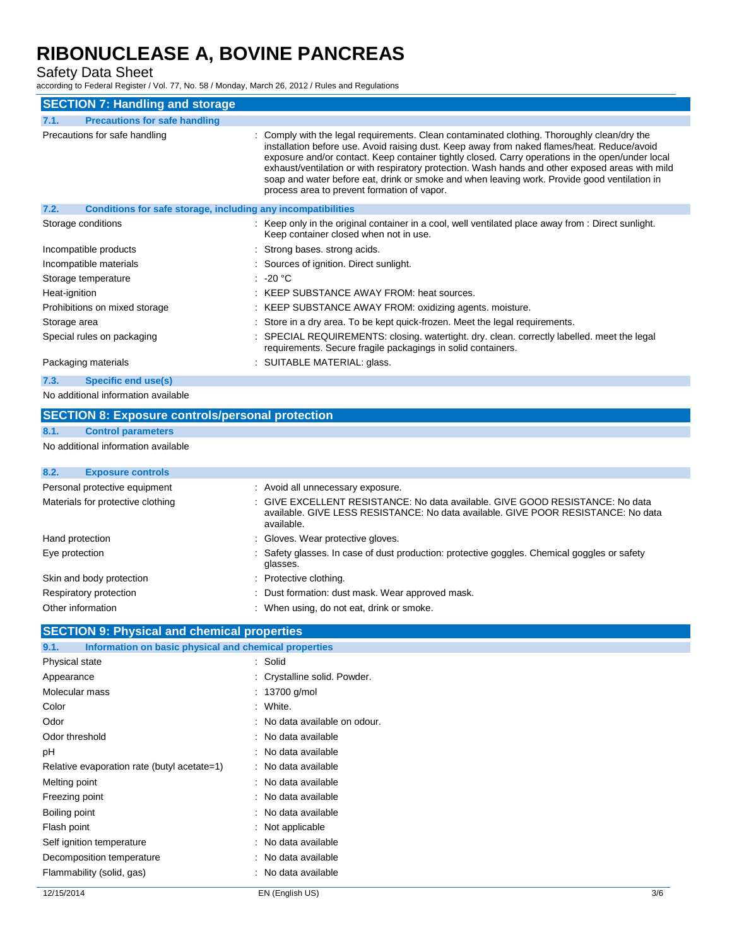Safety Data Sheet

according to Federal Register / Vol. 77, No. 58 / Monday, March 26, 2012 / Rules and Regulations

| <b>SECTION 7: Handling and storage</b>                               |                                                                                                                                                                                                                                                                                                                                                                                                                                                                                                                                                   |
|----------------------------------------------------------------------|---------------------------------------------------------------------------------------------------------------------------------------------------------------------------------------------------------------------------------------------------------------------------------------------------------------------------------------------------------------------------------------------------------------------------------------------------------------------------------------------------------------------------------------------------|
| <b>Precautions for safe handling</b><br>7.1.                         |                                                                                                                                                                                                                                                                                                                                                                                                                                                                                                                                                   |
| Precautions for safe handling                                        | : Comply with the legal requirements. Clean contaminated clothing. Thoroughly clean/dry the<br>installation before use. Avoid raising dust. Keep away from naked flames/heat. Reduce/avoid<br>exposure and/or contact. Keep container tightly closed. Carry operations in the open/under local<br>exhaust/ventilation or with respiratory protection. Wash hands and other exposed areas with mild<br>soap and water before eat, drink or smoke and when leaving work. Provide good ventilation in<br>process area to prevent formation of vapor. |
| 7.2.<br>Conditions for safe storage, including any incompatibilities |                                                                                                                                                                                                                                                                                                                                                                                                                                                                                                                                                   |
| Storage conditions                                                   | : Keep only in the original container in a cool, well ventilated place away from : Direct sunlight.<br>Keep container closed when not in use.                                                                                                                                                                                                                                                                                                                                                                                                     |
| Incompatible products                                                | : Strong bases, strong acids.                                                                                                                                                                                                                                                                                                                                                                                                                                                                                                                     |
| Incompatible materials                                               | : Sources of ignition. Direct sunlight.                                                                                                                                                                                                                                                                                                                                                                                                                                                                                                           |
| Storage temperature                                                  | : -20 $^{\circ}$ C                                                                                                                                                                                                                                                                                                                                                                                                                                                                                                                                |
| Heat-ignition                                                        | : KEEP SUBSTANCE AWAY FROM: heat sources.                                                                                                                                                                                                                                                                                                                                                                                                                                                                                                         |
| Prohibitions on mixed storage                                        | : KEEP SUBSTANCE AWAY FROM: oxidizing agents. moisture.                                                                                                                                                                                                                                                                                                                                                                                                                                                                                           |
| Storage area                                                         | : Store in a dry area. To be kept quick-frozen. Meet the legal requirements.                                                                                                                                                                                                                                                                                                                                                                                                                                                                      |
| Special rules on packaging                                           | : SPECIAL REQUIREMENTS: closing. watertight. dry. clean. correctly labelled. meet the legal<br>requirements. Secure fragile packagings in solid containers.                                                                                                                                                                                                                                                                                                                                                                                       |
| Packaging materials                                                  | : SUITABLE MATERIAL: glass.                                                                                                                                                                                                                                                                                                                                                                                                                                                                                                                       |
| 7.3.<br>Specific end use(s)                                          |                                                                                                                                                                                                                                                                                                                                                                                                                                                                                                                                                   |

No additional information available

### **SECTION 8: Exposure controls/personal protection**

**8.1. Control parameters**

#### No additional information available

| : Avoid all unnecessary exposure.                                                                                                                                                |
|----------------------------------------------------------------------------------------------------------------------------------------------------------------------------------|
| : GIVE EXCELLENT RESISTANCE: No data available. GIVE GOOD RESISTANCE: No data<br>available. GIVE LESS RESISTANCE: No data available. GIVE POOR RESISTANCE: No data<br>available. |
| : Gloves. Wear protective gloves.                                                                                                                                                |
| : Safety glasses. In case of dust production: protective goggles. Chemical goggles or safety<br>glasses.                                                                         |
| : Protective clothing.                                                                                                                                                           |
| : Dust formation: dust mask. Wear approved mask.                                                                                                                                 |
| : When using, do not eat, drink or smoke.                                                                                                                                        |
|                                                                                                                                                                                  |

### **SECTION 9: Physical and chemical properties**

| Information on basic physical and chemical properties<br>9.1. |                               |  |
|---------------------------------------------------------------|-------------------------------|--|
| Physical state                                                | : Solid                       |  |
| Appearance                                                    | : Crystalline solid. Powder.  |  |
| Molecular mass                                                | : $13700$ g/mol               |  |
| Color                                                         | : White.                      |  |
| Odor                                                          | : No data available on odour. |  |
| Odor threshold                                                | : No data available           |  |
| рH                                                            | : No data available           |  |
| Relative evaporation rate (butyl acetate=1)                   | : No data available           |  |
| Melting point                                                 | : No data available           |  |
| Freezing point                                                | : No data available           |  |
| Boiling point                                                 | : No data available           |  |
| Flash point                                                   | $:$ Not applicable            |  |
| Self ignition temperature                                     | : No data available           |  |
| Decomposition temperature                                     | : No data available           |  |
| Flammability (solid, gas)                                     | : No data available           |  |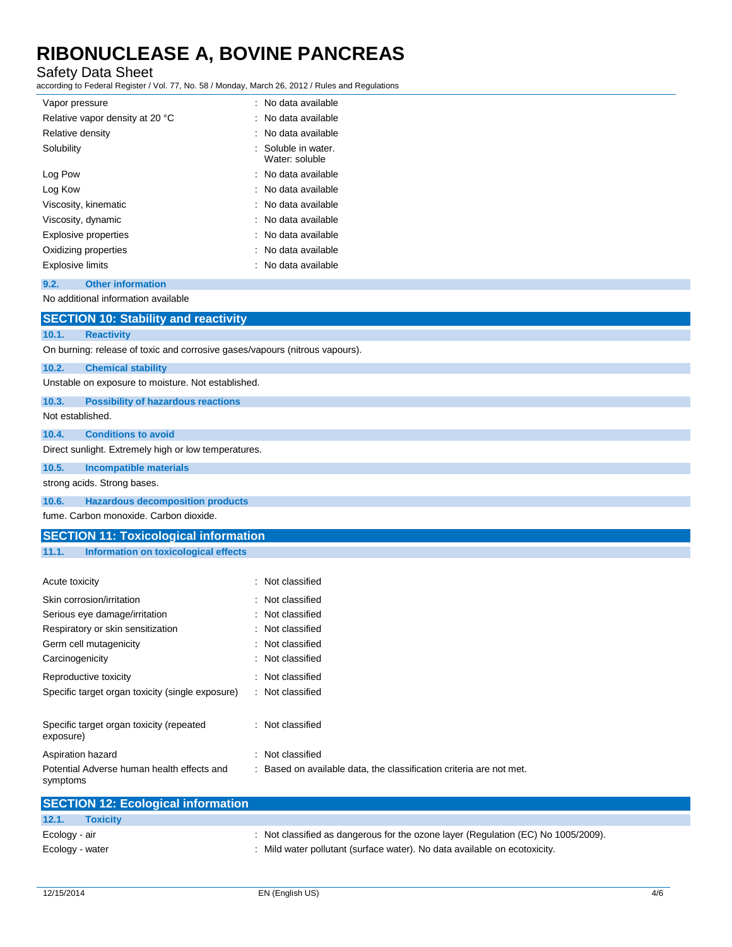### Safety Data Sheet

according to Federal Register / Vol. 77, No. 58 / Monday, March 26, 2012 / Rules and Regulations

| Vapor pressure                  | : No data available                   |
|---------------------------------|---------------------------------------|
| Relative vapor density at 20 °C | : No data available                   |
| Relative density                | : No data available                   |
| Solubility                      | : Soluble in water.<br>Water: soluble |
| Log Pow                         | : No data available                   |
| Log Kow                         | : No data available                   |
| Viscosity, kinematic            | : No data available                   |
| Viscosity, dynamic              | : No data available                   |
| Explosive properties            | : No data available                   |
| Oxidizing properties            | : No data available                   |
| Explosive limits                | : No data available                   |

#### **9.2. Other information**

No additional information available

|                                                      | <b>SECTION 10: Stability and reactivity</b>                                                                                                                                                                                                                                                                                                                                          |  |  |
|------------------------------------------------------|--------------------------------------------------------------------------------------------------------------------------------------------------------------------------------------------------------------------------------------------------------------------------------------------------------------------------------------------------------------------------------------|--|--|
| 10.1.                                                | <b>Reactivity</b>                                                                                                                                                                                                                                                                                                                                                                    |  |  |
|                                                      | On burning: release of toxic and corrosive gases/vapours (nitrous vapours).                                                                                                                                                                                                                                                                                                          |  |  |
| 10.2.                                                | <b>Chemical stability</b>                                                                                                                                                                                                                                                                                                                                                            |  |  |
|                                                      | Unstable on exposure to moisture. Not established.                                                                                                                                                                                                                                                                                                                                   |  |  |
| 10.3.                                                | <b>Possibility of hazardous reactions</b>                                                                                                                                                                                                                                                                                                                                            |  |  |
| Not established.                                     |                                                                                                                                                                                                                                                                                                                                                                                      |  |  |
| 10.4.                                                | <b>Conditions to avoid</b>                                                                                                                                                                                                                                                                                                                                                           |  |  |
| Direct sunlight. Extremely high or low temperatures. |                                                                                                                                                                                                                                                                                                                                                                                      |  |  |
| 10.5.                                                | <b>Incompatible materials</b>                                                                                                                                                                                                                                                                                                                                                        |  |  |
|                                                      | strong acids. Strong bases.                                                                                                                                                                                                                                                                                                                                                          |  |  |
| 10.6.                                                | <b>Hazardous decomposition products</b>                                                                                                                                                                                                                                                                                                                                              |  |  |
| fume. Carbon monoxide. Carbon dioxide.               |                                                                                                                                                                                                                                                                                                                                                                                      |  |  |
|                                                      | $\overline{O}$ $\overline{O}$ $\overline{O}$ $\overline{O}$ $\overline{O}$ $\overline{O}$ $\overline{O}$ $\overline{O}$ $\overline{O}$ $\overline{O}$ $\overline{O}$ $\overline{O}$ $\overline{O}$ $\overline{O}$ $\overline{O}$ $\overline{O}$ $\overline{O}$ $\overline{O}$ $\overline{O}$ $\overline{O}$ $\overline{O}$ $\overline{O}$ $\overline{O}$ $\overline{O}$ $\overline{$ |  |  |

### **SECTION 11: Toxicological information**

#### **11.1. Information on toxicological effects**

| Acute toxicity                                         | : Not classified                                                    |
|--------------------------------------------------------|---------------------------------------------------------------------|
| Skin corrosion/irritation                              | : Not classified                                                    |
| Serious eye damage/irritation                          | : Not classified                                                    |
| Respiratory or skin sensitization                      | : Not classified                                                    |
| Germ cell mutagenicity                                 | : Not classified                                                    |
| Carcinogenicity                                        | : Not classified                                                    |
| Reproductive toxicity                                  | : Not classified                                                    |
| Specific target organ toxicity (single exposure)       | : Not classified                                                    |
|                                                        |                                                                     |
| Specific target organ toxicity (repeated<br>exposure)  | : Not classified                                                    |
| Aspiration hazard                                      | : Not classified                                                    |
| Potential Adverse human health effects and<br>symptoms | : Based on available data, the classification criteria are not met. |

| <b>SECTION 12: Ecological information</b> |                                                                                   |
|-------------------------------------------|-----------------------------------------------------------------------------------|
| 12.1.<br><b>Toxicity</b>                  |                                                                                   |
| Ecology - air                             | : Not classified as dangerous for the ozone layer (Regulation (EC) No 1005/2009). |
| Ecology - water                           | : Mild water pollutant (surface water). No data available on ecotoxicity.         |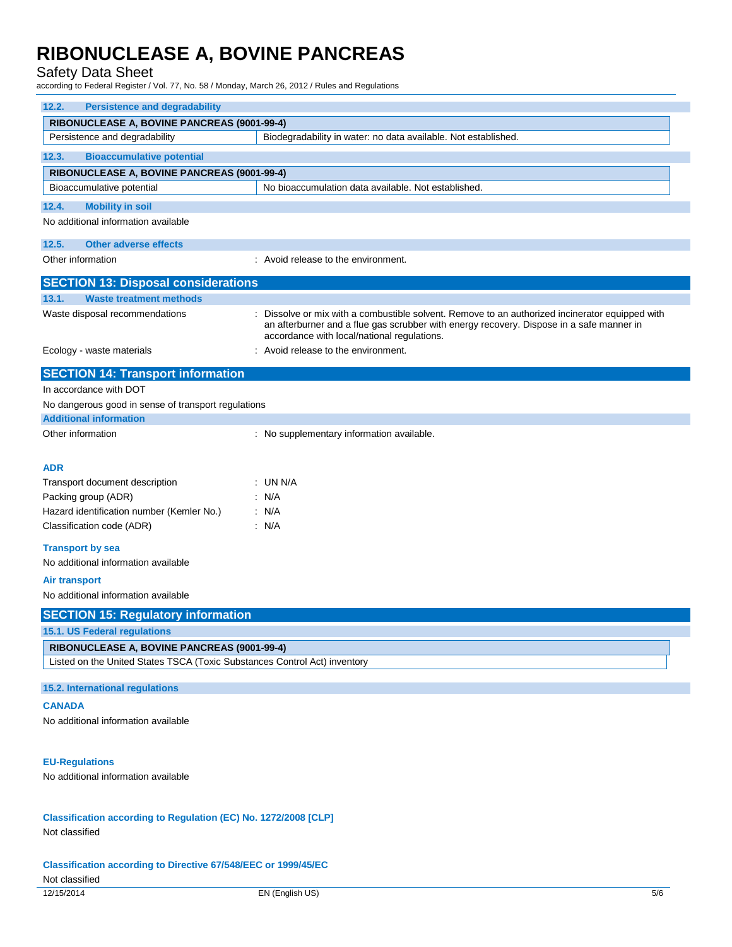### Safety Data Sheet

according to Federal Register / Vol. 77, No. 58 / Monday, March 26, 2012 / Rules and Regulations

| <b>Persistence and degradability</b><br>12.2.                                                                                                                                                                                           |                                                                                                                                                                                                                                          |  |  |
|-----------------------------------------------------------------------------------------------------------------------------------------------------------------------------------------------------------------------------------------|------------------------------------------------------------------------------------------------------------------------------------------------------------------------------------------------------------------------------------------|--|--|
| RIBONUCLEASE A, BOVINE PANCREAS (9001-99-4)                                                                                                                                                                                             |                                                                                                                                                                                                                                          |  |  |
| Persistence and degradability                                                                                                                                                                                                           | Biodegradability in water: no data available. Not established.                                                                                                                                                                           |  |  |
| 12.3.<br><b>Bioaccumulative potential</b>                                                                                                                                                                                               |                                                                                                                                                                                                                                          |  |  |
| RIBONUCLEASE A, BOVINE PANCREAS (9001-99-4)                                                                                                                                                                                             |                                                                                                                                                                                                                                          |  |  |
| Bioaccumulative potential                                                                                                                                                                                                               | No bioaccumulation data available. Not established.                                                                                                                                                                                      |  |  |
| 12.4.<br><b>Mobility in soil</b>                                                                                                                                                                                                        |                                                                                                                                                                                                                                          |  |  |
| No additional information available                                                                                                                                                                                                     |                                                                                                                                                                                                                                          |  |  |
| 12.5.<br><b>Other adverse effects</b>                                                                                                                                                                                                   |                                                                                                                                                                                                                                          |  |  |
| Other information                                                                                                                                                                                                                       | : Avoid release to the environment.                                                                                                                                                                                                      |  |  |
| <b>SECTION 13: Disposal considerations</b>                                                                                                                                                                                              |                                                                                                                                                                                                                                          |  |  |
| 13.1.<br><b>Waste treatment methods</b>                                                                                                                                                                                                 |                                                                                                                                                                                                                                          |  |  |
| Waste disposal recommendations                                                                                                                                                                                                          | Dissolve or mix with a combustible solvent. Remove to an authorized incinerator equipped with<br>an afterburner and a flue gas scrubber with energy recovery. Dispose in a safe manner in<br>accordance with local/national regulations. |  |  |
| Ecology - waste materials                                                                                                                                                                                                               | : Avoid release to the environment.                                                                                                                                                                                                      |  |  |
| <b>SECTION 14: Transport information</b>                                                                                                                                                                                                |                                                                                                                                                                                                                                          |  |  |
| In accordance with DOT                                                                                                                                                                                                                  |                                                                                                                                                                                                                                          |  |  |
| No dangerous good in sense of transport regulations                                                                                                                                                                                     |                                                                                                                                                                                                                                          |  |  |
| <b>Additional information</b>                                                                                                                                                                                                           |                                                                                                                                                                                                                                          |  |  |
| Other information                                                                                                                                                                                                                       | : No supplementary information available.                                                                                                                                                                                                |  |  |
| <b>ADR</b><br>Transport document description<br>Packing group (ADR)<br>Hazard identification number (Kemler No.)<br>Classification code (ADR)<br><b>Transport by sea</b><br>No additional information available<br><b>Air transport</b> | : UN N/A<br>: N/A<br>: N/A<br>: N/A                                                                                                                                                                                                      |  |  |
| No additional information available                                                                                                                                                                                                     |                                                                                                                                                                                                                                          |  |  |
| <b>SECTION 15: Regulatory information</b>                                                                                                                                                                                               |                                                                                                                                                                                                                                          |  |  |
| 15.1. US Federal regulations                                                                                                                                                                                                            |                                                                                                                                                                                                                                          |  |  |
| RIBONUCLEASE A, BOVINE PANCREAS (9001-99-4)                                                                                                                                                                                             |                                                                                                                                                                                                                                          |  |  |
| Listed on the United States TSCA (Toxic Substances Control Act) inventory                                                                                                                                                               |                                                                                                                                                                                                                                          |  |  |
| 15.2. International regulations                                                                                                                                                                                                         |                                                                                                                                                                                                                                          |  |  |
| <b>CANADA</b>                                                                                                                                                                                                                           |                                                                                                                                                                                                                                          |  |  |
| No additional information available                                                                                                                                                                                                     |                                                                                                                                                                                                                                          |  |  |
| <b>EU-Regulations</b><br>No additional information available                                                                                                                                                                            |                                                                                                                                                                                                                                          |  |  |
| Classification according to Regulation (EC) No. 1272/2008 [CLP]<br>Not classified                                                                                                                                                       |                                                                                                                                                                                                                                          |  |  |

**Classification according to Directive 67/548/EEC or 1999/45/EC**

### Not classified